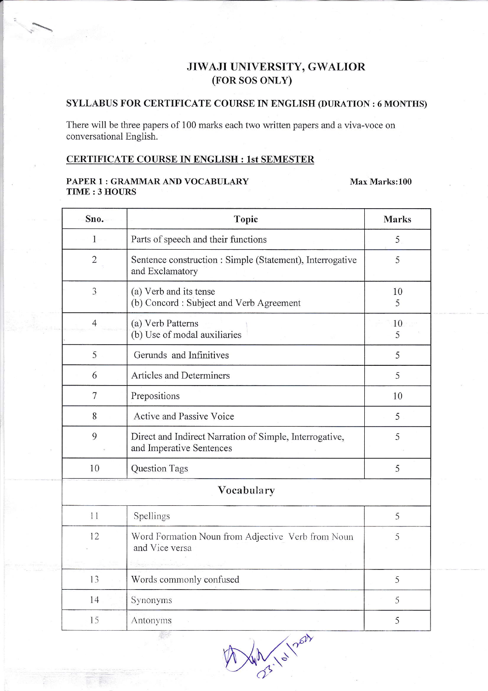# JIWAJI UNIVERSITY, GWALIOR (FOR SOS ONLY)

### **SYLLABUS FOR CERTIFICATE COURSE IN ENGLISH (DURATION: 6 MONTHS)**

There will be three papers of 100 marks each two written papers and a viva-voce on conversational English.

## CERTIFICATE COURSE IN ENGLISH : 1st SEMESTER

#### PAPER 1 : GRAMMAR AND VOCABULARY **TIME: 3 HOURS**

#### Max Marks:100

| Sno.           | Topic                                                                               | <b>Marks</b> |  |
|----------------|-------------------------------------------------------------------------------------|--------------|--|
| $\mathbf{1}$   | Parts of speech and their functions                                                 | 5            |  |
| $\overline{2}$ | Sentence construction : Simple (Statement), Interrogative<br>and Exclamatory        | 5            |  |
| 3              | (a) Verb and its tense<br>(b) Concord: Subject and Verb Agreement                   | 10<br>5      |  |
| $\overline{4}$ | (a) Verb Patterns<br>(b) Use of modal auxiliaries                                   | 10<br>5      |  |
| 5              | Gerunds and Infinitives                                                             | 5            |  |
| 6              | Articles and Determiners                                                            | 5            |  |
| 7              | Prepositions                                                                        | 10           |  |
| 8              | Active and Passive Voice                                                            | 5            |  |
| 9              | Direct and Indirect Narration of Simple, Interrogative,<br>and Imperative Sentences | 5            |  |
| 10             | <b>Question Tags</b>                                                                | 5            |  |
|                | Vocabulary                                                                          |              |  |
| 11             | Spellings                                                                           | 5            |  |
| 12             | Word Formation Noun from Adjective Verb from Noun<br>and Vice versa                 | 5            |  |
| 13             | Words commonly confused                                                             | 5            |  |
| 14             | Synonyms                                                                            | 5            |  |
| 15             | Antonyms                                                                            | 5            |  |

Wall lot now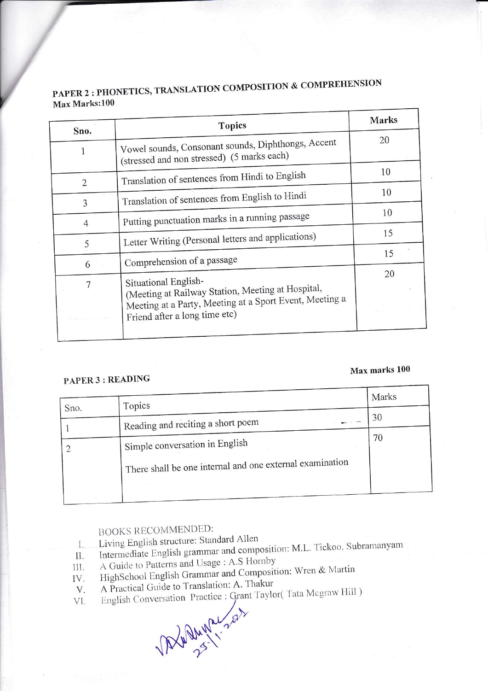|                | <b>Topics</b>                                                                                                                                 | Marks |  |
|----------------|-----------------------------------------------------------------------------------------------------------------------------------------------|-------|--|
| Sno.<br>1      | Vowel sounds, Consonant sounds, Diphthongs, Accent<br>(stressed and non stressed) (5 marks each)                                              | 20    |  |
| $\overline{2}$ | Translation of sentences from Hindi to English                                                                                                | 10    |  |
| 3              | Translation of sentences from English to Hindi                                                                                                | 10    |  |
| 4              | Putting punctuation marks in a running passage                                                                                                | 10    |  |
| 5              | Letter Writing (Personal letters and applications)                                                                                            | 15    |  |
| 6              | Comprehension of a passage                                                                                                                    | 15    |  |
|                | Situational English-                                                                                                                          | 20    |  |
|                | (Meeting at Railway Station, Meeting at Hospital,<br>Meeting at a Party, Meeting at a Sport Event, Meeting a<br>Friend after a long time etc) |       |  |

# PAPER 2 : PHONETICS, TRANSLATION COMPOSITION & COMPREHENSION Max Marks:100

# Max marks 100

# PAPER 3 : READING

I

|      | Topics                                                   | Marks |
|------|----------------------------------------------------------|-------|
| Sno. |                                                          | 30    |
|      | Reading and reciting a short poem                        |       |
|      | Simple conversation in English                           | 70    |
|      | There shall be one internal and one external examination |       |
|      |                                                          |       |

# **BOOKS RECOMMENDED:**

- Living English structure: Standard Allen
- Living English structure: Standard Allen<br>Intermediate English grammar and composition: M.L. Tickoo, Subramanyam l.
- il. A Guide to Patterns and Usage : A.S Hornby
- A Guide to Patterns and Usage: A.S. Homoy<br>HighSchool English Grammar and Composition: Wren & Martin lII .
- IV.<br>V. A Practical Guide to Translation: A. Thakur
- A Practical Guide to Translation. A. Thakan<br>English Conversation Practice : Grant Taylor(Tata Megraw Hill) V]

Versation Practice : Grant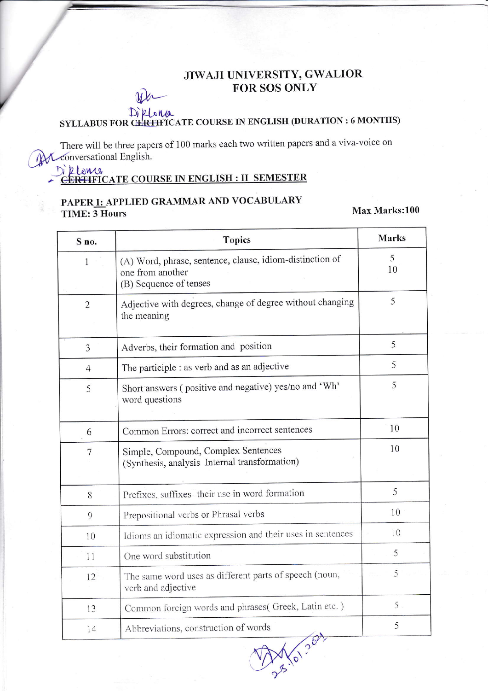# JIWAJI UNIVERSITY, GWALIOR **FOR SOS ONLY**

# Diklena<br>SYLLABUS FOR CERTIFICATE COURSE IN ENGLISH (DURATION: 6 MONTHS)

There will be three papers of 100 marks each two written papers and a viva-voice on MConversational English.

# Di Riomo<br>CERTIFICATE COURSE IN ENGLISH : II SEMESTER

# PAPER I: APPLIED GRAMMAR AND VOCABULARY **TIME: 3 Hours**

Max Marks:100

| S no.          | <b>Topics</b>                                                                                          | Marks   |
|----------------|--------------------------------------------------------------------------------------------------------|---------|
| 1              | (A) Word, phrase, sentence, clause, idiom-distinction of<br>one from another<br>(B) Sequence of tenses | 5<br>10 |
| $\overline{2}$ | Adjective with degrees, change of degree without changing<br>the meaning                               | 5       |
| 3              | Adverbs, their formation and position                                                                  | 5       |
| $\overline{4}$ | The participle : as verb and as an adjective                                                           | 5       |
| 5              | Short answers (positive and negative) yes/no and 'Wh'<br>word questions                                | 5       |
| 6              | Common Errors: correct and incorrect sentences                                                         | 10      |
| $\overline{7}$ | Simple, Compound, Complex Sentences<br>(Synthesis, analysis Internal transformation)                   | 10      |
| 8              | Prefixes, suffixes- their use in word formation                                                        | 5       |
| 9              | Prepositional verbs or Phrasal verbs                                                                   | 10      |
| 10             | Idioms an idiomatic expression and their uses in sentences                                             | 10      |
| 11             | One word substitution                                                                                  | 5       |
| 12             | The same word uses as different parts of speech (noun,<br>verb and adjective                           | 5       |
| 13             | Common foreign words and phrases(Greek, Latin etc.)                                                    | 5       |
| 14             | Abbreviations, construction of words<br>$\overline{\phantom{a}}$                                       | 5       |